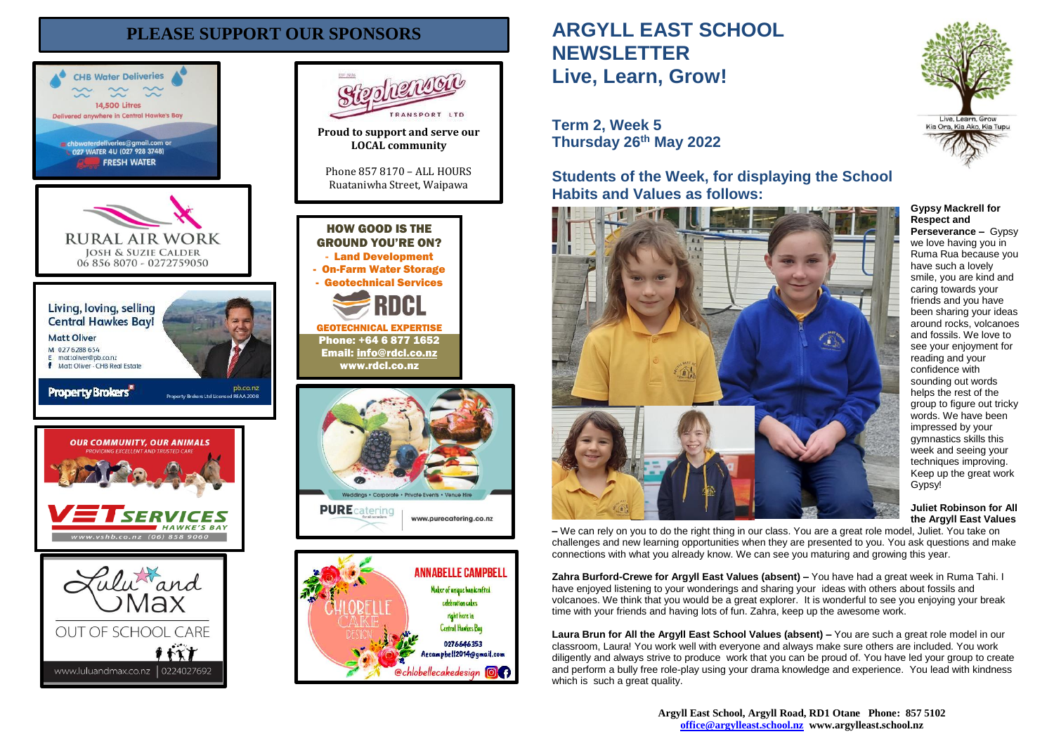# **PLEASE SUPPORT OUR SPONSORS**







# **ARGYLL EAST SCHOOL NEWSLETTER Live, Learn, Grow!**

# **Term 2, Week 5 Thursday 26th May 2022**

**Students of the Week, for displaying the School Habits and Values as follows:**



**Gypsy Mackrell for Respect and Perseverance – Gypsy** we love having you in Ruma Rua because you have such a lovely smile, you are kind and caring towards your friends and you have been sharing your ideas around rocks, volcanoes and fossils. We love to see your enjoyment for reading and your confidence with sounding out words helps the rest of the group to figure out tricky words. We have been impressed by your gymnastics skills this week and seeing your techniques improving. Keep up the great work Gypsy!

**Juliet Robinson for All the Argyll East Values**

**–** We can rely on you to do the right thing in our class. You are a great role model, Juliet. You take on challenges and new learning opportunities when they are presented to you. You ask questions and make connections with what you already know. We can see you maturing and growing this year.

**Zahra Burford-Crewe for Argyll East Values (absent) –** You have had a great week in Ruma Tahi. I have enjoyed listening to your wonderings and sharing your ideas with others about fossils and volcanoes. We think that you would be a great explorer. It is wonderful to see you enjoying your break time with your friends and having lots of fun. Zahra, keep up the awesome work.

**Laura Brun for All the Argyll East School Values (absent) –** You are such a great role model in our classroom, Laura! You work well with everyone and always make sure others are included. You work diligently and always strive to produce work that you can be proud of. You have led your group to create and perform a bully free role-play using your drama knowledge and experience. You lead with kindness which is such a great quality.